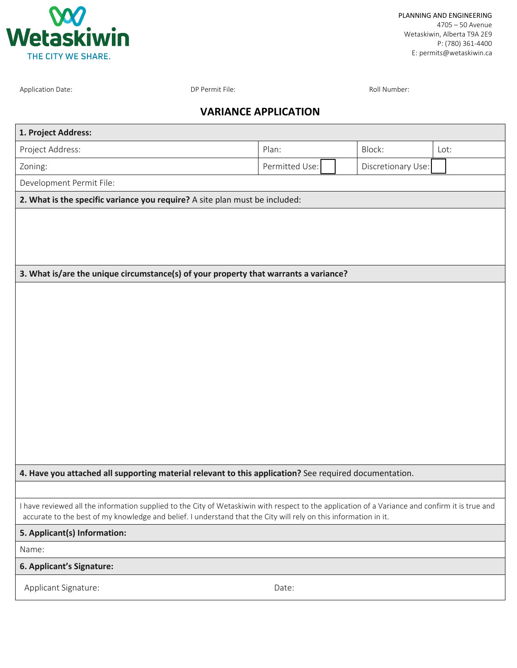

Application Date: The Contraction Date: DP Permit File: Roll Number: Roll Number: Roll Number:

## **VARIANCE APPLICATION**

| 1. Project Address:                                                                                                                                                                                                                                                 |                |                    |      |  |  |  |
|---------------------------------------------------------------------------------------------------------------------------------------------------------------------------------------------------------------------------------------------------------------------|----------------|--------------------|------|--|--|--|
| Project Address:                                                                                                                                                                                                                                                    | Plan:          | Block:             | Lot: |  |  |  |
| Zoning:                                                                                                                                                                                                                                                             | Permitted Use: | Discretionary Use: |      |  |  |  |
| Development Permit File:                                                                                                                                                                                                                                            |                |                    |      |  |  |  |
| 2. What is the specific variance you require? A site plan must be included:                                                                                                                                                                                         |                |                    |      |  |  |  |
|                                                                                                                                                                                                                                                                     |                |                    |      |  |  |  |
|                                                                                                                                                                                                                                                                     |                |                    |      |  |  |  |
|                                                                                                                                                                                                                                                                     |                |                    |      |  |  |  |
| 3. What is/are the unique circumstance(s) of your property that warrants a variance?                                                                                                                                                                                |                |                    |      |  |  |  |
|                                                                                                                                                                                                                                                                     |                |                    |      |  |  |  |
|                                                                                                                                                                                                                                                                     |                |                    |      |  |  |  |
|                                                                                                                                                                                                                                                                     |                |                    |      |  |  |  |
|                                                                                                                                                                                                                                                                     |                |                    |      |  |  |  |
|                                                                                                                                                                                                                                                                     |                |                    |      |  |  |  |
|                                                                                                                                                                                                                                                                     |                |                    |      |  |  |  |
|                                                                                                                                                                                                                                                                     |                |                    |      |  |  |  |
|                                                                                                                                                                                                                                                                     |                |                    |      |  |  |  |
|                                                                                                                                                                                                                                                                     |                |                    |      |  |  |  |
|                                                                                                                                                                                                                                                                     |                |                    |      |  |  |  |
|                                                                                                                                                                                                                                                                     |                |                    |      |  |  |  |
| 4. Have you attached all supporting material relevant to this application? See required documentation.                                                                                                                                                              |                |                    |      |  |  |  |
|                                                                                                                                                                                                                                                                     |                |                    |      |  |  |  |
| I have reviewed all the information supplied to the City of Wetaskiwin with respect to the application of a Variance and confirm it is true and<br>accurate to the best of my knowledge and belief. I understand that the City will rely on this information in it. |                |                    |      |  |  |  |
| 5. Applicant(s) Information:                                                                                                                                                                                                                                        |                |                    |      |  |  |  |
| Name:                                                                                                                                                                                                                                                               |                |                    |      |  |  |  |
| 6. Applicant's Signature:                                                                                                                                                                                                                                           |                |                    |      |  |  |  |
| Applicant Signature:                                                                                                                                                                                                                                                | Date:          |                    |      |  |  |  |